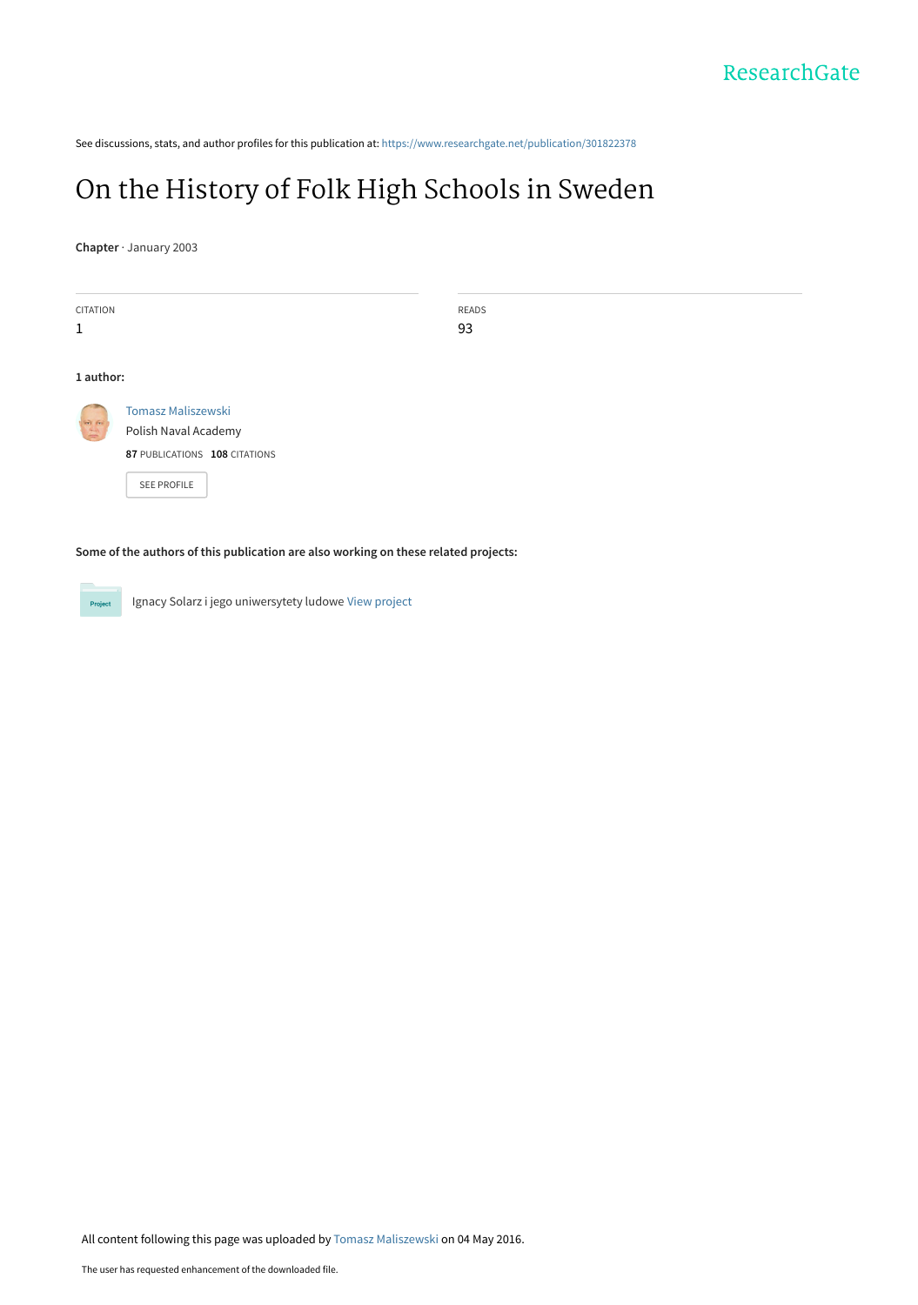See discussions, stats, and author profiles for this publication at: [https://www.researchgate.net/publication/301822378](https://www.researchgate.net/publication/301822378_On_the_History_of_Folk_High_Schools_in_Sweden?enrichId=rgreq-dc5196b1a2783d30f6e446710438c53d-XXX&enrichSource=Y292ZXJQYWdlOzMwMTgyMjM3ODtBUzozNTc5Nzg4NTIwODU3NjFAMTQ2MjM2MDIxNzMyNg%3D%3D&el=1_x_2&_esc=publicationCoverPdf)

# [On the History of Folk High Schools in Sweden](https://www.researchgate.net/publication/301822378_On_the_History_of_Folk_High_Schools_in_Sweden?enrichId=rgreq-dc5196b1a2783d30f6e446710438c53d-XXX&enrichSource=Y292ZXJQYWdlOzMwMTgyMjM3ODtBUzozNTc5Nzg4NTIwODU3NjFAMTQ2MjM2MDIxNzMyNg%3D%3D&el=1_x_3&_esc=publicationCoverPdf)

**Chapter** · January 2003

| <b>CITATION</b> |                                                                                                   | READS |
|-----------------|---------------------------------------------------------------------------------------------------|-------|
| $\mathbf{1}$    |                                                                                                   | 93    |
| 1 author:       |                                                                                                   |       |
|                 | <b>Tomasz Maliszewski</b><br>Polish Naval Academy<br>87 PUBLICATIONS 108 CITATIONS<br>SEE PROFILE |       |

**Some of the authors of this publication are also working on these related projects:**

Ignacy Solarz i jego uniwersytety ludowe [View project](https://www.researchgate.net/project/Ignacy-Solarz-i-jego-uniwersytety-ludowe?enrichId=rgreq-dc5196b1a2783d30f6e446710438c53d-XXX&enrichSource=Y292ZXJQYWdlOzMwMTgyMjM3ODtBUzozNTc5Nzg4NTIwODU3NjFAMTQ2MjM2MDIxNzMyNg%3D%3D&el=1_x_9&_esc=publicationCoverPdf)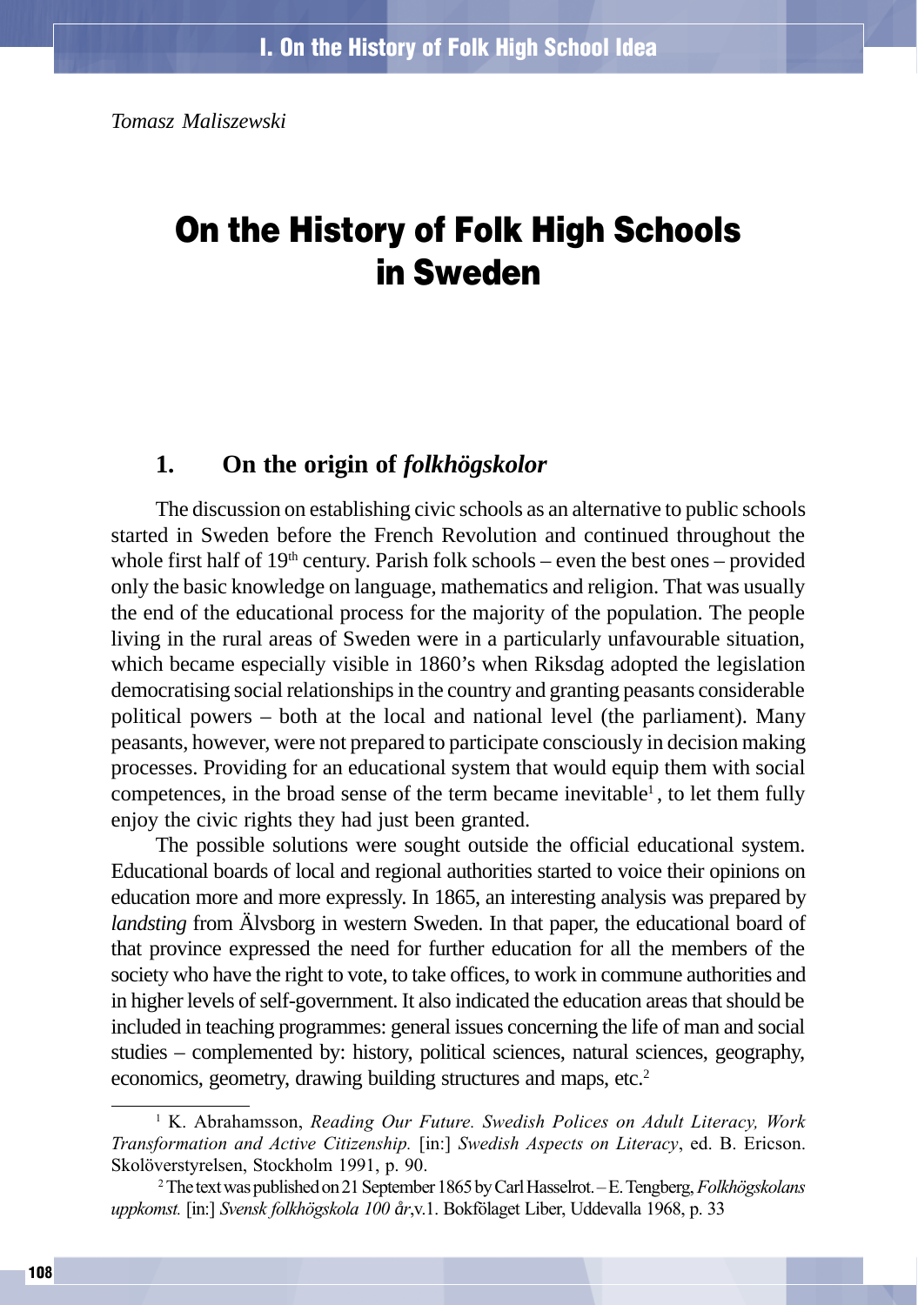*Tomasz Maliszewski*

# On the History of Folk High Schools in Sweden

### **1. On the origin of** *folkhögskolor*

The discussion on establishing civic schools as an alternative to public schools started in Sweden before the French Revolution and continued throughout the whole first half of  $19<sup>th</sup>$  century. Parish folk schools – even the best ones – provided only the basic knowledge on language, mathematics and religion. That was usually the end of the educational process for the majority of the population. The people living in the rural areas of Sweden were in a particularly unfavourable situation, which became especially visible in 1860's when Riksdag adopted the legislation democratising social relationships in the country and granting peasants considerable political powers – both at the local and national level (the parliament). Many peasants, however, were not prepared to participate consciously in decision making processes. Providing for an educational system that would equip them with social competences, in the broad sense of the term became inevitable<sup>1</sup>, to let them fully enjoy the civic rights they had just been granted.

The possible solutions were sought outside the official educational system. Educational boards of local and regional authorities started to voice their opinions on education more and more expressly. In 1865, an interesting analysis was prepared by *landsting* from Älvsborg in western Sweden. In that paper, the educational board of that province expressed the need for further education for all the members of the society who have the right to vote, to take offices, to work in commune authorities and in higher levels of self-government. It also indicated the education areas that should be included in teaching programmes: general issues concerning the life of man and social studies – complemented by: history, political sciences, natural sciences, geography, economics, geometry, drawing building structures and maps, etc.<sup>2</sup>

<sup>&</sup>lt;sup>1</sup> K. Abrahamsson, Reading Our Future. Swedish Polices on Adult Literacy, Work Transformation and Active Citizenship. [in:] Swedish Aspects on Literacy, ed. B. Ericson. Skolöverstyrelsen, Stockholm 1991, p. 90.

<sup>&</sup>lt;sup>2</sup> The text was published on 21 September 1865 by Carl Hasselrot. – E. Tengberg, *Folkhögskolans* uppkomst. [in:] Svensk folkhögskola 100 *å*r,v.1. Bokfölaget Liber, Uddevalla 1968, p. 33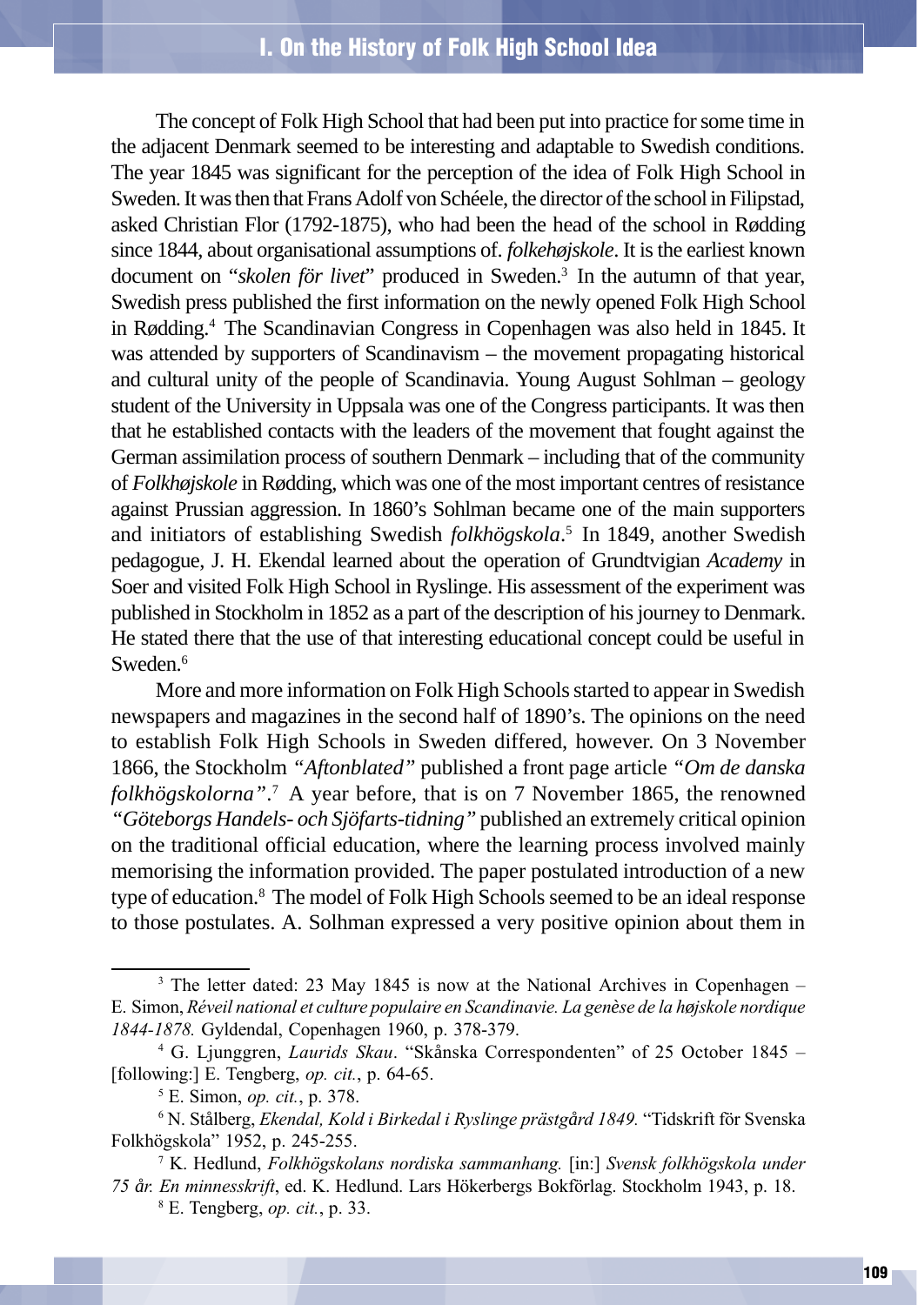The concept of Folk High School that had been put into practice for some time in the adjacent Denmark seemed to be interesting and adaptable to Swedish conditions. The year 1845 was significant for the perception of the idea of Folk High School in Sweden. It was then that Frans Adolf von Schéele, the director of the school in Filipstad, asked Christian Flor (1792-1875), who had been the head of the school in Rødding since 1844, about organisational assumptions of. *folkehøjskole*. It is the earliest known document on "*skolen för livet*" produced in Sweden.3 In the autumn of that year, Swedish press published the first information on the newly opened Folk High School in Rødding.4 The Scandinavian Congress in Copenhagen was also held in 1845. It was attended by supporters of Scandinavism – the movement propagating historical and cultural unity of the people of Scandinavia. Young August Sohlman – geology student of the University in Uppsala was one of the Congress participants. It was then that he established contacts with the leaders of the movement that fought against the German assimilation process of southern Denmark – including that of the community of *Folkhøjskole* in Rødding, which was one of the most important centres of resistance against Prussian aggression. In 1860's Sohlman became one of the main supporters and initiators of establishing Swedish *folkhögskola*. 5 In 1849, another Swedish pedagogue, J. H. Ekendal learned about the operation of Grundtvigian *Academy* in Soer and visited Folk High School in Ryslinge. His assessment of the experiment was published in Stockholm in 1852 as a part of the description of his journey to Denmark. He stated there that the use of that interesting educational concept could be useful in Sweden.<sup>6</sup>

More and more information on Folk High Schools started to appear in Swedish newspapers and magazines in the second half of 1890's. The opinions on the need to establish Folk High Schools in Sweden differed, however. On 3 November 1866, the Stockholm *"Aftonblated"* published a front page article *"Om de danska folkhögskolorna"*. 7 A year before, that is on 7 November 1865, the renowned *"Göteborgs Handels- och Sjöfarts-tidning"* published an extremely critical opinion on the traditional official education, where the learning process involved mainly memorising the information provided. The paper postulated introduction of a new type of education.8 The model of Folk High Schools seemed to be an ideal response to those postulates. A. Solhman expressed a very positive opinion about them in

<sup>&</sup>lt;sup>3</sup> The letter dated: 23 May 1845 is now at the National Archives in Copenhagen – E. Simon, Réveil national et culture populaire en Scandinavie. La gen*è*se de la h*ø*jskole nordique 1844-1878. Gyldendal, Copenhagen 1960, p. 378-379.

<sup>&</sup>lt;sup>4</sup> G. Ljunggren, Laurids Skau. "Skånska Correspondenten" of 25 October 1845 -[following:] E. Tengberg, op. cit., p. 64-65.

<sup>&</sup>lt;sup>5</sup> E. Simon, op. cit., p. 378.

<sup>&</sup>lt;sup>6</sup> N. Stålberg, *Ekendal, Kold i Birkedal i Ryslinge prästgård 1849*. "Tidskrift för Svenska Folkhögskola" 1952, p. 245-255.

<sup>&</sup>lt;sup>7</sup> K. Hedlund, Folkhögskolans nordiska sammanhang. [in:] Svensk folkhögskola under 75 *å*r. En minnesskrift, ed. K. Hedlund. Lars Hökerbergs Bokförlag. Stockholm 1943, p. 18.

 $8$  E. Tengberg, op. cit., p. 33.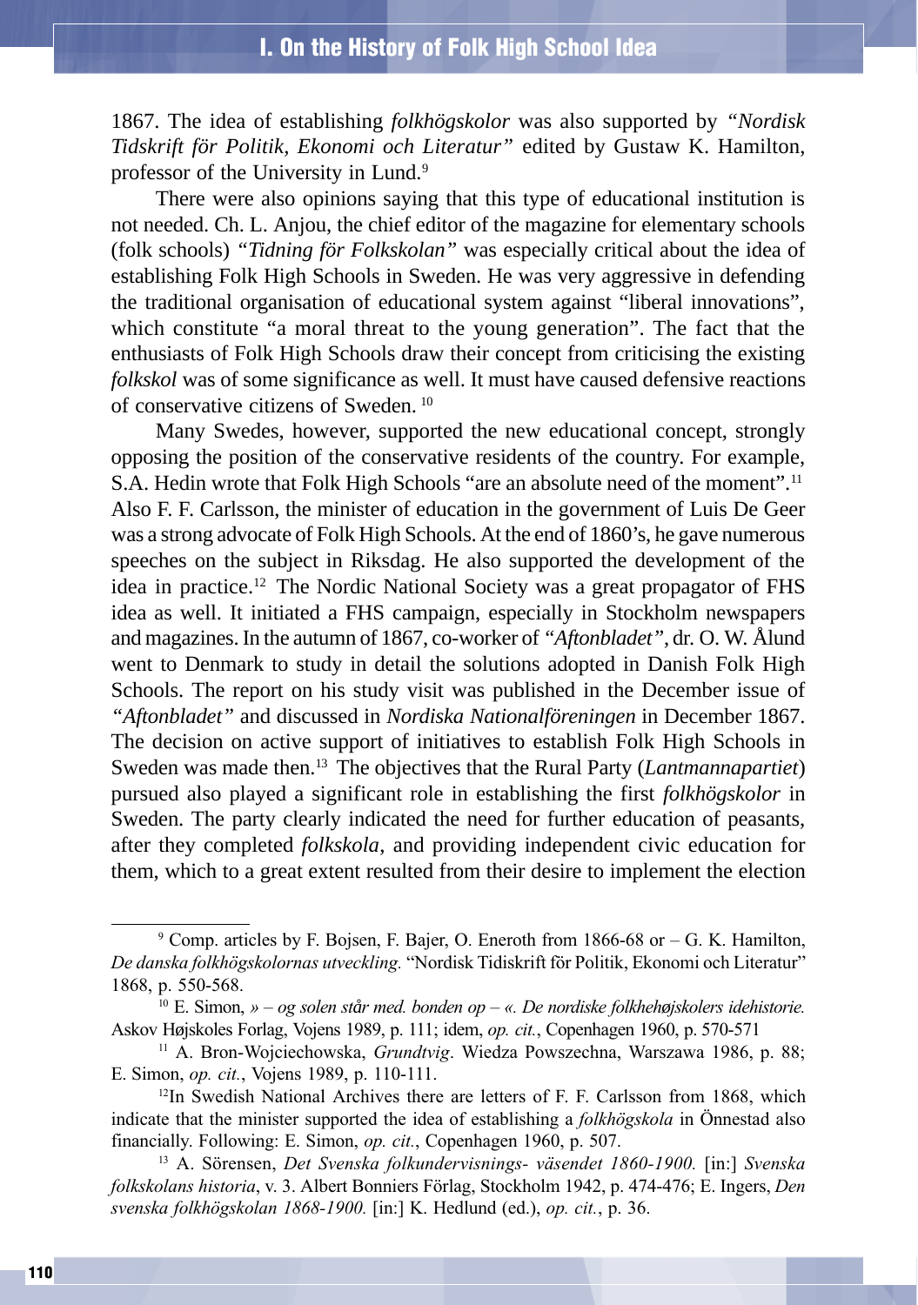1867. The idea of establishing *folkhögskolor* was also supported by *"Nordisk Tidskrift för Politik, Ekonomi och Literatur"* edited by Gustaw K. Hamilton, professor of the University in Lund.<sup>9</sup>

There were also opinions saying that this type of educational institution is not needed. Ch. L. Anjou, the chief editor of the magazine for elementary schools (folk schools) *"Tidning för Folkskolan"* was especially critical about the idea of establishing Folk High Schools in Sweden. He was very aggressive in defending the traditional organisation of educational system against "liberal innovations", which constitute "a moral threat to the young generation". The fact that the enthusiasts of Folk High Schools draw their concept from criticising the existing *folkskol* was of some significance as well. It must have caused defensive reactions of conservative citizens of Sweden. 10

Many Swedes, however, supported the new educational concept, strongly opposing the position of the conservative residents of the country. For example, S.A. Hedin wrote that Folk High Schools "are an absolute need of the moment".<sup>11</sup> Also F. F. Carlsson, the minister of education in the government of Luis De Geer was a strong advocate of Folk High Schools. At the end of 1860's, he gave numerous speeches on the subject in Riksdag. He also supported the development of the idea in practice.12 The Nordic National Society was a great propagator of FHS idea as well. It initiated a FHS campaign, especially in Stockholm newspapers and magazines. In the autumn of 1867, co-worker of *"Aftonbladet"*, dr. O. W. Ålund went to Denmark to study in detail the solutions adopted in Danish Folk High Schools. The report on his study visit was published in the December issue of *"Aftonbladet"* and discussed in *Nordiska Nationalföreningen* in December 1867. The decision on active support of initiatives to establish Folk High Schools in Sweden was made then.13 The objectives that the Rural Party (*Lantmannapartiet*) pursued also played a significant role in establishing the first *folkhögskolor* in Sweden. The party clearly indicated the need for further education of peasants, after they completed *folkskola*, and providing independent civic education for them, which to a great extent resulted from their desire to implement the election

 $9$  Comp. articles by F. Bojsen, F. Bajer, O. Eneroth from 1866-68 or  $-$  G. K. Hamilton, De danska folkhögskolornas utveckling. "Nordisk Tidiskrift för Politik, Ekonomi och Literatur" 1868, p. 550-568.

<sup>&</sup>lt;sup>10</sup> E. Simon, » - og solen står med. bonden op - «. De nordiske folkhehøjskolers idehistorie. Askov Højskoles Forlag, Vojens 1989, p. 111; idem, op. cit., Copenhagen 1960, p. 570-571

<sup>&</sup>lt;sup>11</sup> A. Bron-Wojciechowska, *Grundtvig*. Wiedza Powszechna, Warszawa 1986, p. 88; E. Simon, op. cit., Vojens 1989, p. 110-111.

 $12$ In Swedish National Archives there are letters of F. F. Carlsson from 1868, which indicate that the minister supported the idea of establishing a *folkhögskola* in Önnestad also financially. Following: E. Simon, op. cit., Copenhagen 1960, p. 507.

<sup>&</sup>lt;sup>13</sup> A. Sörensen, Det Svenska folkundervisnings- väsendet 1860-1900. [in:] Svenska folkskolans historia, v. 3. Albert Bonniers Förlag, Stockholm 1942, p. 474-476; E. Ingers, Den svenska folkhögskolan 1868-1900. [in:] K. Hedlund (ed.), op. cit., p. 36.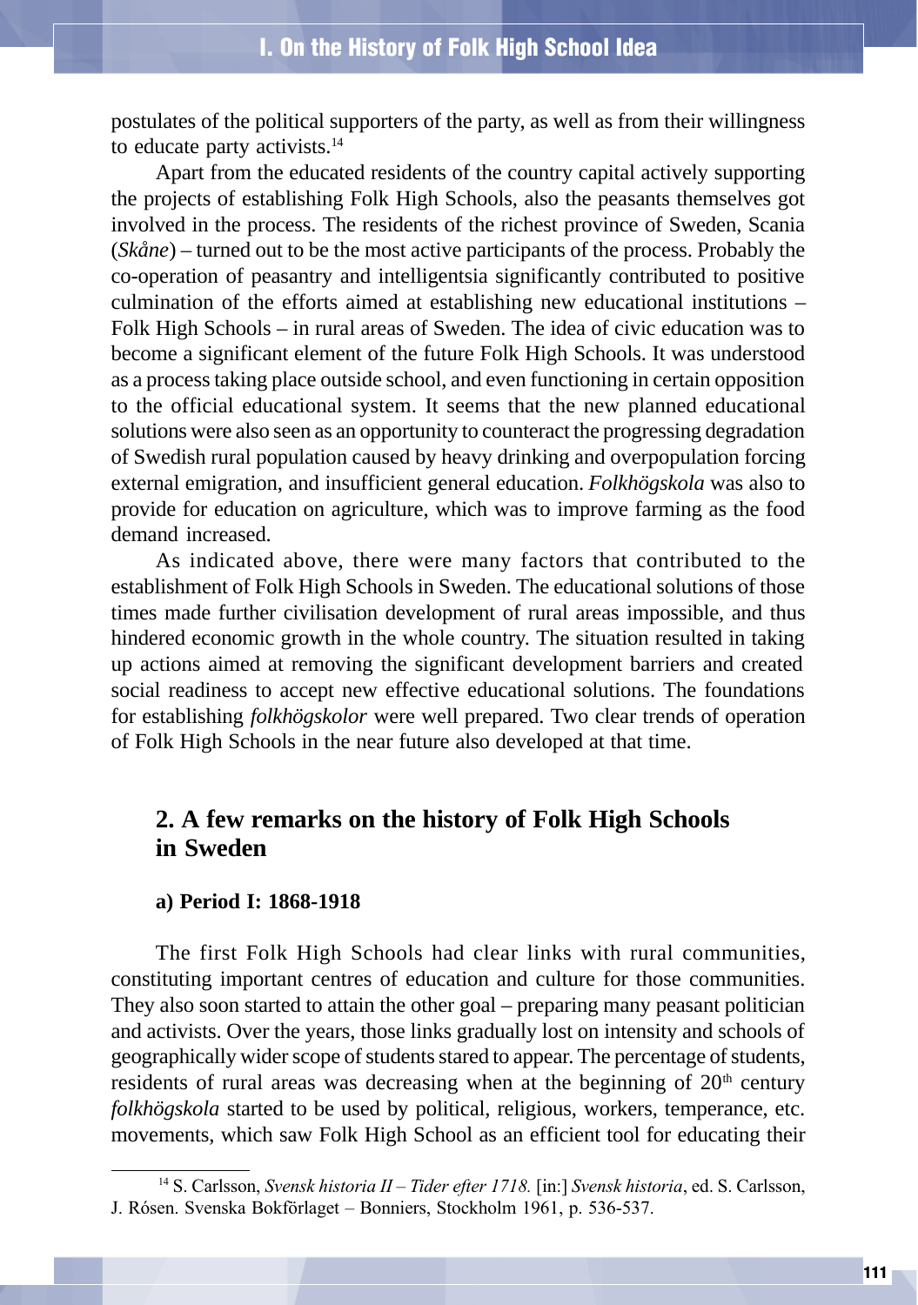postulates of the political supporters of the party, as well as from their willingness to educate party activists.<sup>14</sup>

Apart from the educated residents of the country capital actively supporting the projects of establishing Folk High Schools, also the peasants themselves got involved in the process. The residents of the richest province of Sweden, Scania (*Skåne*) – turned out to be the most active participants of the process. Probably the co-operation of peasantry and intelligentsia significantly contributed to positive culmination of the efforts aimed at establishing new educational institutions – Folk High Schools – in rural areas of Sweden. The idea of civic education was to become a significant element of the future Folk High Schools. It was understood as a process taking place outside school, and even functioning in certain opposition to the official educational system. It seems that the new planned educational solutions were also seen as an opportunity to counteract the progressing degradation of Swedish rural population caused by heavy drinking and overpopulation forcing external emigration, and insufficient general education. *Folkhögskola* was also to provide for education on agriculture, which was to improve farming as the food demand increased.

As indicated above, there were many factors that contributed to the establishment of Folk High Schools in Sweden. The educational solutions of those times made further civilisation development of rural areas impossible, and thus hindered economic growth in the whole country. The situation resulted in taking up actions aimed at removing the significant development barriers and created social readiness to accept new effective educational solutions. The foundations for establishing *folkhögskolor* were well prepared. Two clear trends of operation of Folk High Schools in the near future also developed at that time.

# **2. A few remarks on the history of Folk High Schools in Sweden**

#### **a) Period I: 1868-1918**

The first Folk High Schools had clear links with rural communities, constituting important centres of education and culture for those communities. They also soon started to attain the other goal – preparing many peasant politician and activists. Over the years, those links gradually lost on intensity and schools of geographically wider scope of students stared to appear. The percentage of students, residents of rural areas was decreasing when at the beginning of  $20<sup>th</sup>$  century *folkhögskola* started to be used by political, religious, workers, temperance, etc. movements, which saw Folk High School as an efficient tool for educating their

<sup>&</sup>lt;sup>14</sup> S. Carlsson, *Svensk historia II – Tider efter 1718*. [in:] *Svensk historia*, ed. S. Carlsson, J. Rósen. Svenska Bokförlaget - Bonniers, Stockholm 1961, p. 536-537.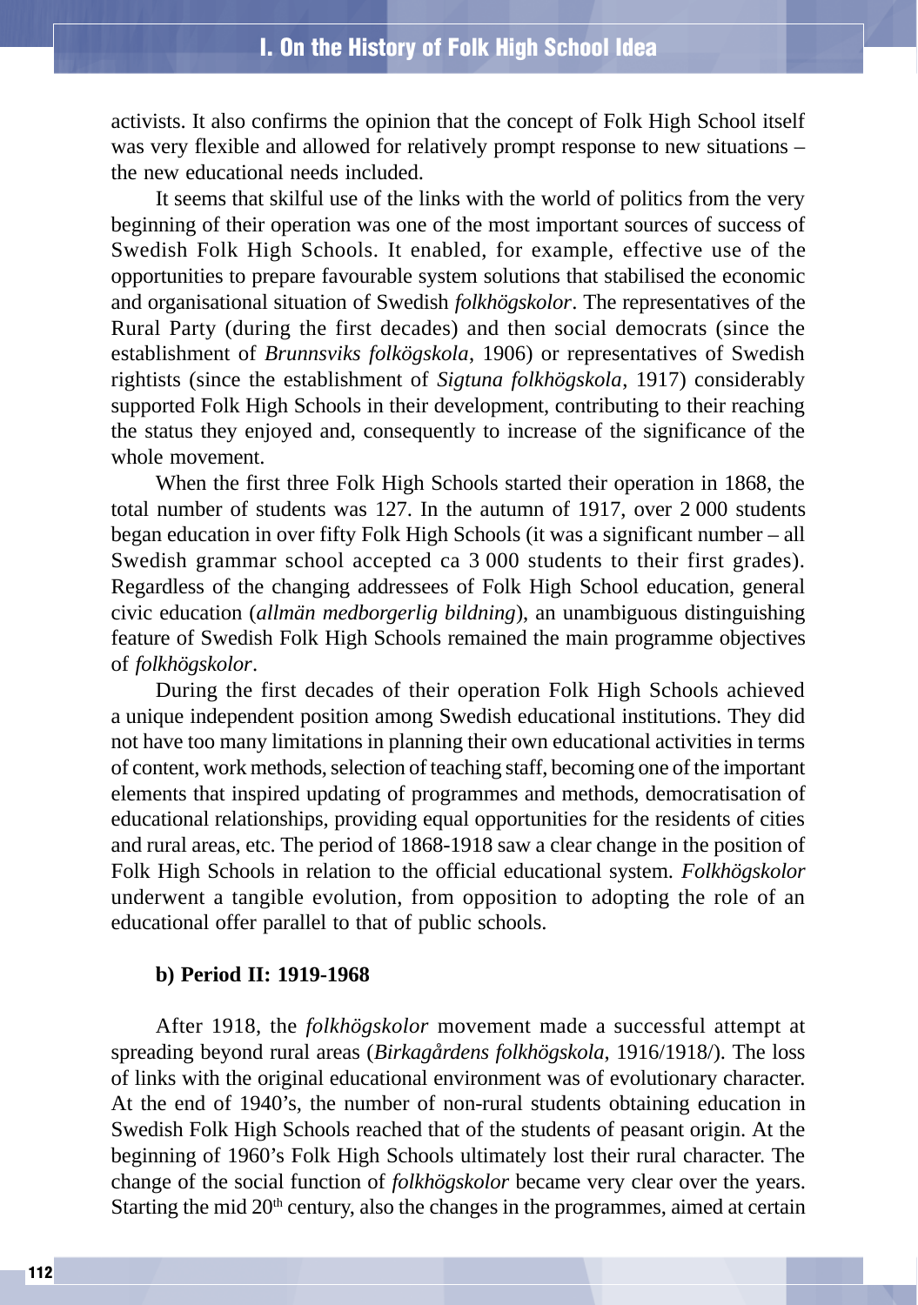activists. It also confirms the opinion that the concept of Folk High School itself was very flexible and allowed for relatively prompt response to new situations – the new educational needs included.

It seems that skilful use of the links with the world of politics from the very beginning of their operation was one of the most important sources of success of Swedish Folk High Schools. It enabled, for example, effective use of the opportunities to prepare favourable system solutions that stabilised the economic and organisational situation of Swedish *folkhögskolor*. The representatives of the Rural Party (during the first decades) and then social democrats (since the establishment of *Brunnsviks folkögskola*, 1906) or representatives of Swedish rightists (since the establishment of *Sigtuna folkhögskola*, 1917) considerably supported Folk High Schools in their development, contributing to their reaching the status they enjoyed and, consequently to increase of the significance of the whole movement.

When the first three Folk High Schools started their operation in 1868, the total number of students was 127. In the autumn of 1917, over 2 000 students began education in over fifty Folk High Schools (it was a significant number – all Swedish grammar school accepted ca 3 000 students to their first grades). Regardless of the changing addressees of Folk High School education, general civic education (*allmän medborgerlig bildning*), an unambiguous distinguishing feature of Swedish Folk High Schools remained the main programme objectives of *folkhögskolor*.

During the first decades of their operation Folk High Schools achieved a unique independent position among Swedish educational institutions. They did not have too many limitations in planning their own educational activities in terms of content, work methods, selection of teaching staff, becoming one of the important elements that inspired updating of programmes and methods, democratisation of educational relationships, providing equal opportunities for the residents of cities and rural areas, etc. The period of 1868-1918 saw a clear change in the position of Folk High Schools in relation to the official educational system. *Folkhögskolor* underwent a tangible evolution, from opposition to adopting the role of an educational offer parallel to that of public schools.

#### **b) Period II: 1919-1968**

After 1918, the *folkhögskolor* movement made a successful attempt at spreading beyond rural areas (*Birkagårdens folkhögskola*, 1916/1918/). The loss of links with the original educational environment was of evolutionary character. At the end of 1940's, the number of non-rural students obtaining education in Swedish Folk High Schools reached that of the students of peasant origin. At the beginning of 1960's Folk High Schools ultimately lost their rural character. The change of the social function of *folkhögskolor* became very clear over the years. Starting the mid  $20<sup>th</sup>$  century, also the changes in the programmes, aimed at certain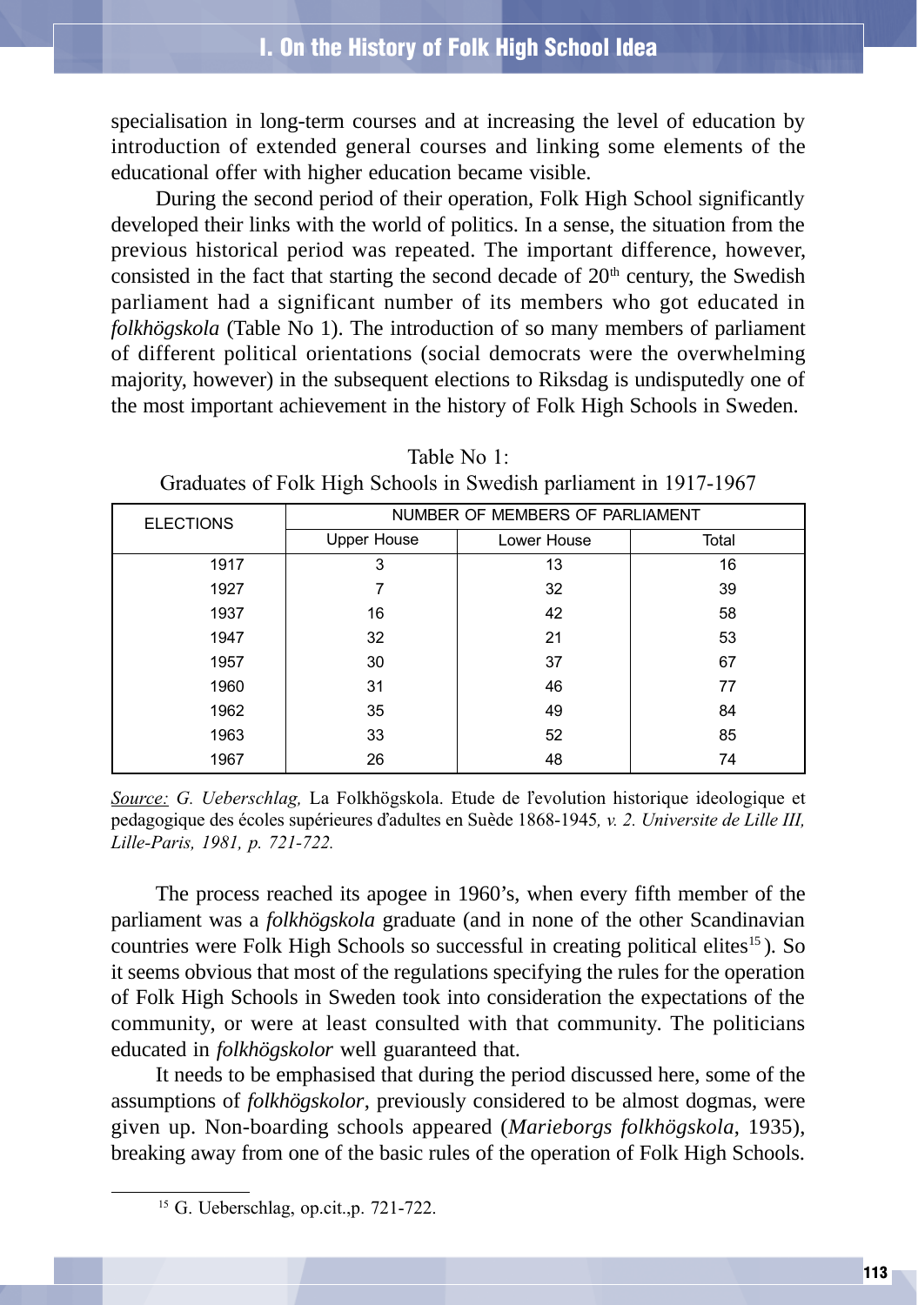specialisation in long-term courses and at increasing the level of education by introduction of extended general courses and linking some elements of the educational offer with higher education became visible.

During the second period of their operation, Folk High School significantly developed their links with the world of politics. In a sense, the situation from the previous historical period was repeated. The important difference, however, consisted in the fact that starting the second decade of  $20<sup>th</sup>$  century, the Swedish parliament had a significant number of its members who got educated in *folkhögskola* (Table No 1). The introduction of so many members of parliament of different political orientations (social democrats were the overwhelming majority, however) in the subsequent elections to Riksdag is undisputedly one of the most important achievement in the history of Folk High Schools in Sweden.

| <b>ELECTIONS</b> | NUMBER OF MEMBERS OF PARLIAMENT |             |       |
|------------------|---------------------------------|-------------|-------|
|                  | <b>Upper House</b>              | Lower House | Total |
| 1917             | 3                               | 13          | 16    |
| 1927             |                                 | 32          | 39    |
| 1937             | 16                              | 42          | 58    |
| 1947             | 32                              | 21          | 53    |
| 1957             | 30                              | 37          | 67    |
| 1960             | 31                              | 46          | 77    |
| 1962             | 35                              | 49          | 84    |
| 1963             | 33                              | 52          | 85    |
| 1967             | 26                              | 48          | 74    |

Table No 1: Graduates of Folk High Schools in Swedish parliament in 1917-1967

Source: G. Ueberschlag, La Folkhögskola. Etude de l'evolution historique ideologique et pedagogique des écoles supérieures d'adultes en Suède 1868-1945, v. 2. Universite de Lille III, Lille-Paris, 1981, p. 721-722.

The process reached its apogee in 1960's, when every fifth member of the parliament was a *folkhögskola* graduate (and in none of the other Scandinavian countries were Folk High Schools so successful in creating political elites<sup>15</sup>). So it seems obvious that most of the regulations specifying the rules for the operation of Folk High Schools in Sweden took into consideration the expectations of the community, or were at least consulted with that community. The politicians educated in *folkhögskolor* well guaranteed that.

It needs to be emphasised that during the period discussed here, some of the assumptions of *folkhögskolor*, previously considered to be almost dogmas, were given up. Non-boarding schools appeared (*Marieborgs folkhögskola*, 1935), breaking away from one of the basic rules of the operation of Folk High Schools.

<sup>15</sup> G. Ueberschlag, op.cit.,p. 721-722.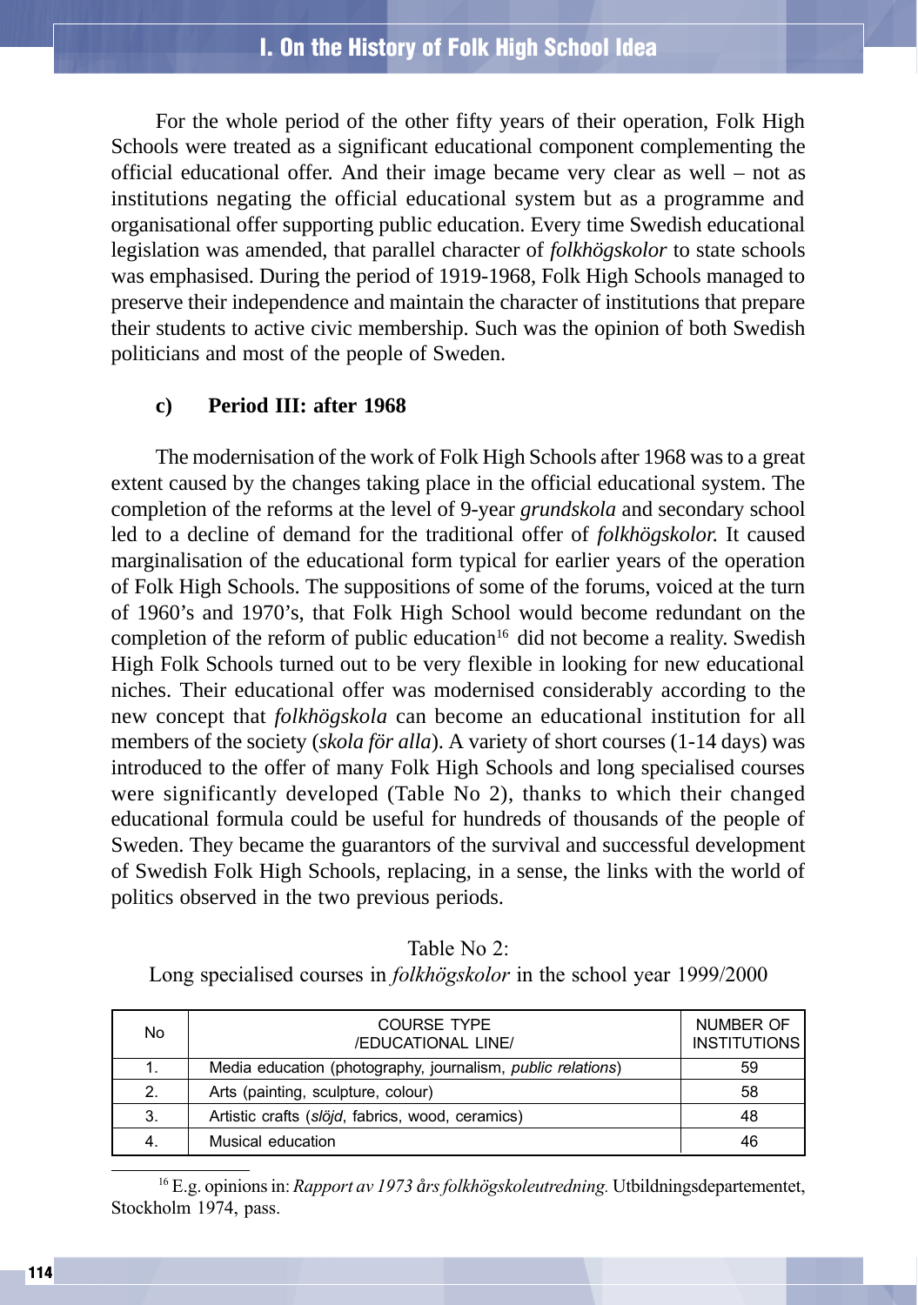For the whole period of the other fifty years of their operation, Folk High Schools were treated as a significant educational component complementing the official educational offer. And their image became very clear as well – not as institutions negating the official educational system but as a programme and organisational offer supporting public education. Every time Swedish educational legislation was amended, that parallel character of *folkhögskolor* to state schools was emphasised. During the period of 1919-1968, Folk High Schools managed to preserve their independence and maintain the character of institutions that prepare their students to active civic membership. Such was the opinion of both Swedish politicians and most of the people of Sweden.

#### **c) Period III: after 1968**

The modernisation of the work of Folk High Schools after 1968 was to a great extent caused by the changes taking place in the official educational system. The completion of the reforms at the level of 9-year *grundskola* and secondary school led to a decline of demand for the traditional offer of *folkhögskolor.* It caused marginalisation of the educational form typical for earlier years of the operation of Folk High Schools. The suppositions of some of the forums, voiced at the turn of 1960's and 1970's, that Folk High School would become redundant on the completion of the reform of public education<sup>16</sup> did not become a reality. Swedish High Folk Schools turned out to be very flexible in looking for new educational niches. Their educational offer was modernised considerably according to the new concept that *folkhögskola* can become an educational institution for all members of the society (*skola för alla*). A variety of short courses (1-14 days) was introduced to the offer of many Folk High Schools and long specialised courses were significantly developed (Table No 2), thanks to which their changed educational formula could be useful for hundreds of thousands of the people of Sweden. They became the guarantors of the survival and successful development of Swedish Folk High Schools, replacing, in a sense, the links with the world of politics observed in the two previous periods.

| Table No 2: |  |
|-------------|--|
|-------------|--|

Long specialised courses in folkhögskolor in the school year 1999/2000

| No | <b>COURSE TYPE</b><br>/EDUCATIONAL LINE/                    | NUMBER OF<br><b>INSTITUTIONS</b> |
|----|-------------------------------------------------------------|----------------------------------|
| 1. | Media education (photography, journalism, public relations) | 59                               |
| 2. | Arts (painting, sculpture, colour)                          | -58                              |
| 3. | Artistic crafts (slöjd, fabrics, wood, ceramics)            | 48                               |
| 4. | Musical education                                           | 46                               |

16 E.g. opinions in: Rapport av 1973 *å*rs folkhögskoleutredning. Utbildningsdepartementet, Stockholm 1974, pass.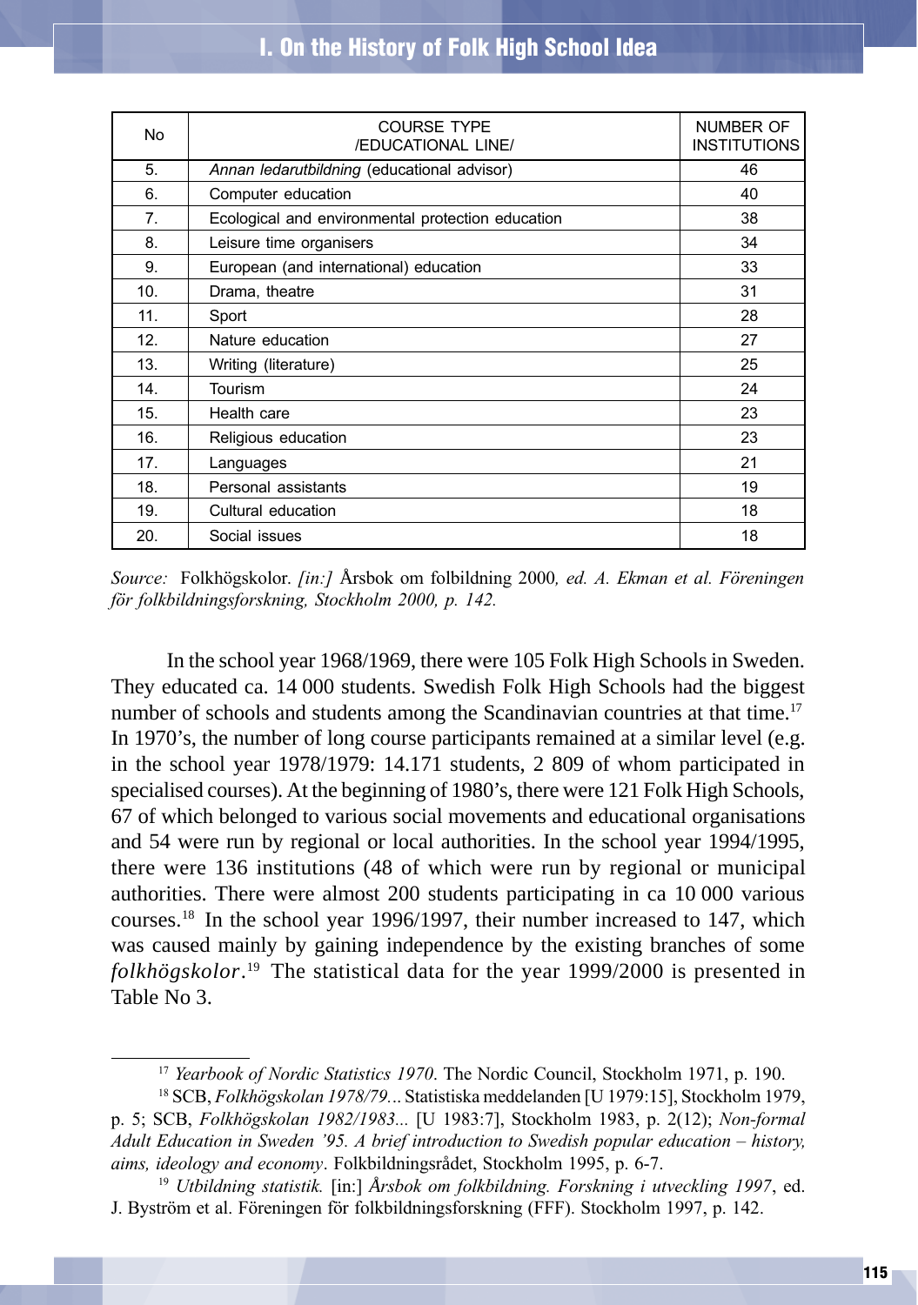| No. | <b>COURSE TYPE</b><br><b>/EDUCATIONAL LINE/</b>   | NUMBER OF<br><b>INSTITUTIONS</b> |
|-----|---------------------------------------------------|----------------------------------|
| 5.  | Annan ledarutbildning (educational advisor)       | 46                               |
| 6.  | Computer education                                | 40                               |
| 7.  | Ecological and environmental protection education | 38                               |
| 8.  | Leisure time organisers                           | 34                               |
| 9.  | European (and international) education            | 33                               |
| 10. | Drama, theatre                                    | 31                               |
| 11. | Sport                                             | 28                               |
| 12. | Nature education                                  | 27                               |
| 13. | Writing (literature)                              | 25                               |
| 14. | Tourism                                           | 24                               |
| 15. | Health care                                       | 23                               |
| 16. | Religious education                               | 23                               |
| 17. | Languages                                         | 21                               |
| 18. | Personal assistants                               | 19                               |
| 19. | Cultural education                                | 18                               |
| 20. | Social issues                                     | 18                               |

Source: Folkhögskolor. *[in:]* Årsbok om folbildning 2000, ed. A. Ekman et al. Föreningen för folkbildningsforskning, Stockholm 2000, p. 142.

In the school year 1968/1969, there were 105 Folk High Schools in Sweden. They educated ca. 14 000 students. Swedish Folk High Schools had the biggest number of schools and students among the Scandinavian countries at that time.<sup>17</sup> In 1970's, the number of long course participants remained at a similar level (e.g. in the school year 1978/1979: 14.171 students, 2 809 of whom participated in specialised courses). At the beginning of 1980's, there were 121 Folk High Schools, 67 of which belonged to various social movements and educational organisations and 54 were run by regional or local authorities. In the school year 1994/1995, there were 136 institutions (48 of which were run by regional or municipal authorities. There were almost 200 students participating in ca 10 000 various courses.18 In the school year 1996/1997, their number increased to 147, which was caused mainly by gaining independence by the existing branches of some *folkhögskolor*. 19 The statistical data for the year 1999/2000 is presented in Table No 3.

<sup>&</sup>lt;sup>17</sup> Yearbook of Nordic Statistics 1970. The Nordic Council, Stockholm 1971, p. 190.

<sup>&</sup>lt;sup>18</sup> SCB, *Folkhögskolan 1978/79...* Statistiska meddelanden [U 1979:15], Stockholm 1979, p. 5; SCB, Folkhögskolan 1982/1983... [U 1983:7], Stockholm 1983, p. 2(12); Non-formal Adult Education in Sweden '95. A brief introduction to Swedish popular education  $-$  history, aims, ideology and economy. Folkbildningsrådet, Stockholm 1995, p. 6-7.

<sup>19</sup> Utbildning statistik. [in:] *Å*rsbok om folkbildning. Forskning i utveckling 1997, ed. J. Byström et al. Föreningen för folkbildningsforskning (FFF). Stockholm 1997, p. 142.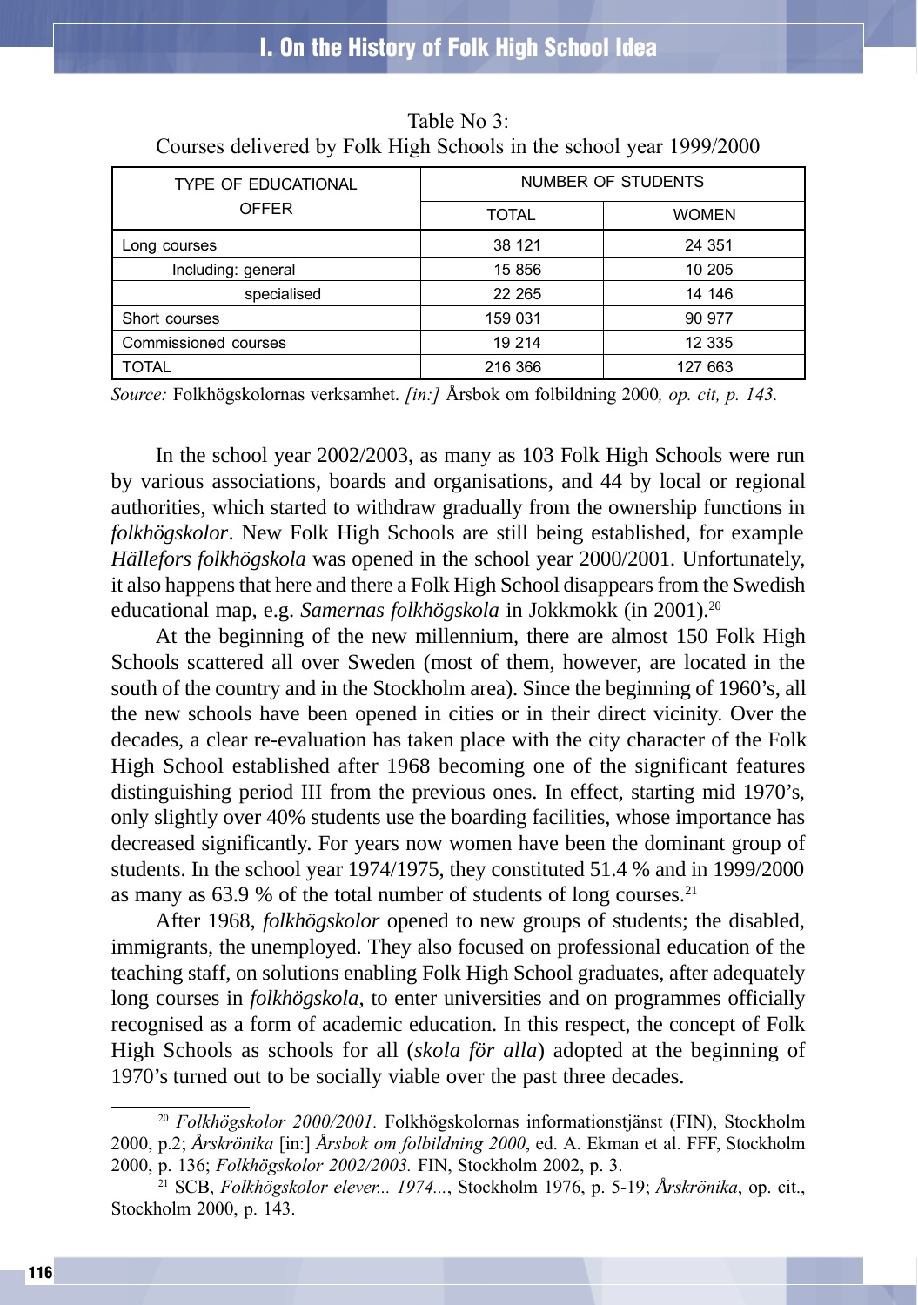| TYPE OF EDUCATIONAL<br><b>OFFER</b> | NUMBER OF STUDENTS |              |  |
|-------------------------------------|--------------------|--------------|--|
|                                     | TOTAL              | <b>WOMEN</b> |  |
| Long courses                        | 38 121             | 24 351       |  |
| Including: general                  | 15 856             | 10 205       |  |
| specialised                         | 22 265             | 14 14 6      |  |
| Short courses                       | 159 031            | 90 977       |  |
| Commissioned courses                | 19 214             | 12 3 3 5     |  |
| <b>TOTAL</b>                        | 216 366            | 127 663      |  |

Table No 3: Courses delivered by Folk High Schools in the school year 1999/2000

Source: Folkhögskolornas verksamhet. *[in:]* Årsbok om folbildning 2000, *op. cit, p. 143.* 

In the school year 2002/2003, as many as 103 Folk High Schools were run by various associations, boards and organisations, and 44 by local or regional authorities, which started to withdraw gradually from the ownership functions in *folkhögskolor*. New Folk High Schools are still being established, for example *Hällefors folkhögskola* was opened in the school year 2000/2001*.* Unfortunately, it also happens that here and there a Folk High School disappears from the Swedish educational map, e.g. *Samernas folkhögskola* in Jokkmokk (in 2001).20

At the beginning of the new millennium, there are almost 150 Folk High Schools scattered all over Sweden (most of them, however, are located in the south of the country and in the Stockholm area). Since the beginning of 1960's, all the new schools have been opened in cities or in their direct vicinity. Over the decades, a clear re-evaluation has taken place with the city character of the Folk High School established after 1968 becoming one of the significant features distinguishing period III from the previous ones. In effect, starting mid 1970's, only slightly over 40% students use the boarding facilities, whose importance has decreased significantly. For years now women have been the dominant group of students. In the school year 1974/1975, they constituted 51.4 % and in 1999/2000 as many as  $63.9\%$  of the total number of students of long courses.<sup>21</sup>

After 1968, *folkhögskolor* opened to new groups of students; the disabled, immigrants, the unemployed. They also focused on professional education of the teaching staff, on solutions enabling Folk High School graduates, after adequately long courses in *folkhögskola*, to enter universities and on programmes officially recognised as a form of academic education. In this respect, the concept of Folk High Schools as schools for all (*skola för alla*) adopted at the beginning of 1970's turned out to be socially viable over the past three decades.

 $20$  Folkhögskolor 2000/2001. Folkhögskolornas informationstjänst (FIN), Stockholm 2000, p.2; *Å*rskrönika [in:] *Å*rsbok om folbildning 2000, ed. A. Ekman et al. FFF, Stockholm 2000, p. 136; Folkhögskolor 2002/2003. FIN, Stockholm 2002, p. 3.

<sup>21</sup> SCB, Folkhögskolor elever... 1974..., Stockholm 1976, p. 5-19; *Å*rskrönika, op. cit., Stockholm 2000, p. 143.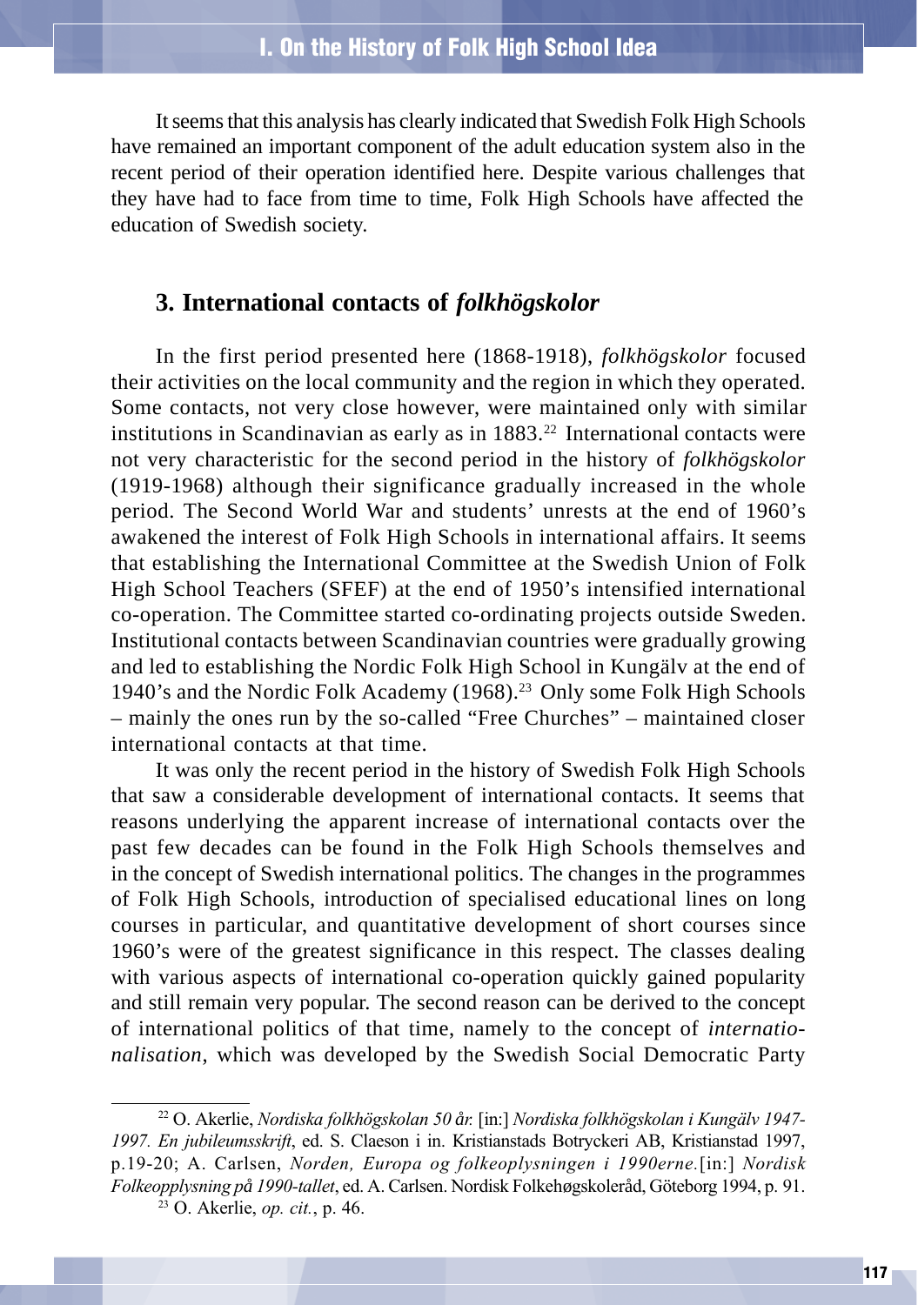It seems that this analysis has clearly indicated that Swedish Folk High Schools have remained an important component of the adult education system also in the recent period of their operation identified here. Despite various challenges that they have had to face from time to time, Folk High Schools have affected the education of Swedish society.

## **3. International contacts of** *folkhögskolor*

In the first period presented here (1868-1918), *folkhögskolor* focused their activities on the local community and the region in which they operated. Some contacts, not very close however, were maintained only with similar institutions in Scandinavian as early as in  $1883.<sup>22</sup>$  International contacts were not very characteristic for the second period in the history of *folkhögskolor* (1919-1968) although their significance gradually increased in the whole period. The Second World War and students' unrests at the end of 1960's awakened the interest of Folk High Schools in international affairs. It seems that establishing the International Committee at the Swedish Union of Folk High School Teachers (SFEF) at the end of 1950's intensified international co-operation. The Committee started co-ordinating projects outside Sweden. Institutional contacts between Scandinavian countries were gradually growing and led to establishing the Nordic Folk High School in Kungälv at the end of 1940's and the Nordic Folk Academy (1968).<sup>23</sup> Only some Folk High Schools – mainly the ones run by the so-called "Free Churches" – maintained closer international contacts at that time.

It was only the recent period in the history of Swedish Folk High Schools that saw a considerable development of international contacts. It seems that reasons underlying the apparent increase of international contacts over the past few decades can be found in the Folk High Schools themselves and in the concept of Swedish international politics. The changes in the programmes of Folk High Schools, introduction of specialised educational lines on long courses in particular, and quantitative development of short courses since 1960's were of the greatest significance in this respect. The classes dealing with various aspects of international co-operation quickly gained popularity and still remain very popular. The second reason can be derived to the concept of international politics of that time, namely to the concept of *internationalisation*, which was developed by the Swedish Social Democratic Party

<sup>22</sup> O. Akerlie, Nordiska folkhögskolan 50 *å*r. [in:] Nordiska folkhögskolan i Kungälv 1947- 1997. En jubileumsskrift, ed. S. Claeson i in. Kristianstads Botryckeri AB, Kristianstad 1997, p.19-20; A. Carlsen, Norden, Europa og folkeoplysningen i 1990erne.[in:] Nordisk Folkeopplysning p*å* 1990-tallet, ed. A. Carlsen. Nordisk Folkehøgskoleråd, Göteborg 1994, p. 91.

 $23$  O. Akerlie, *op. cit.*, p. 46.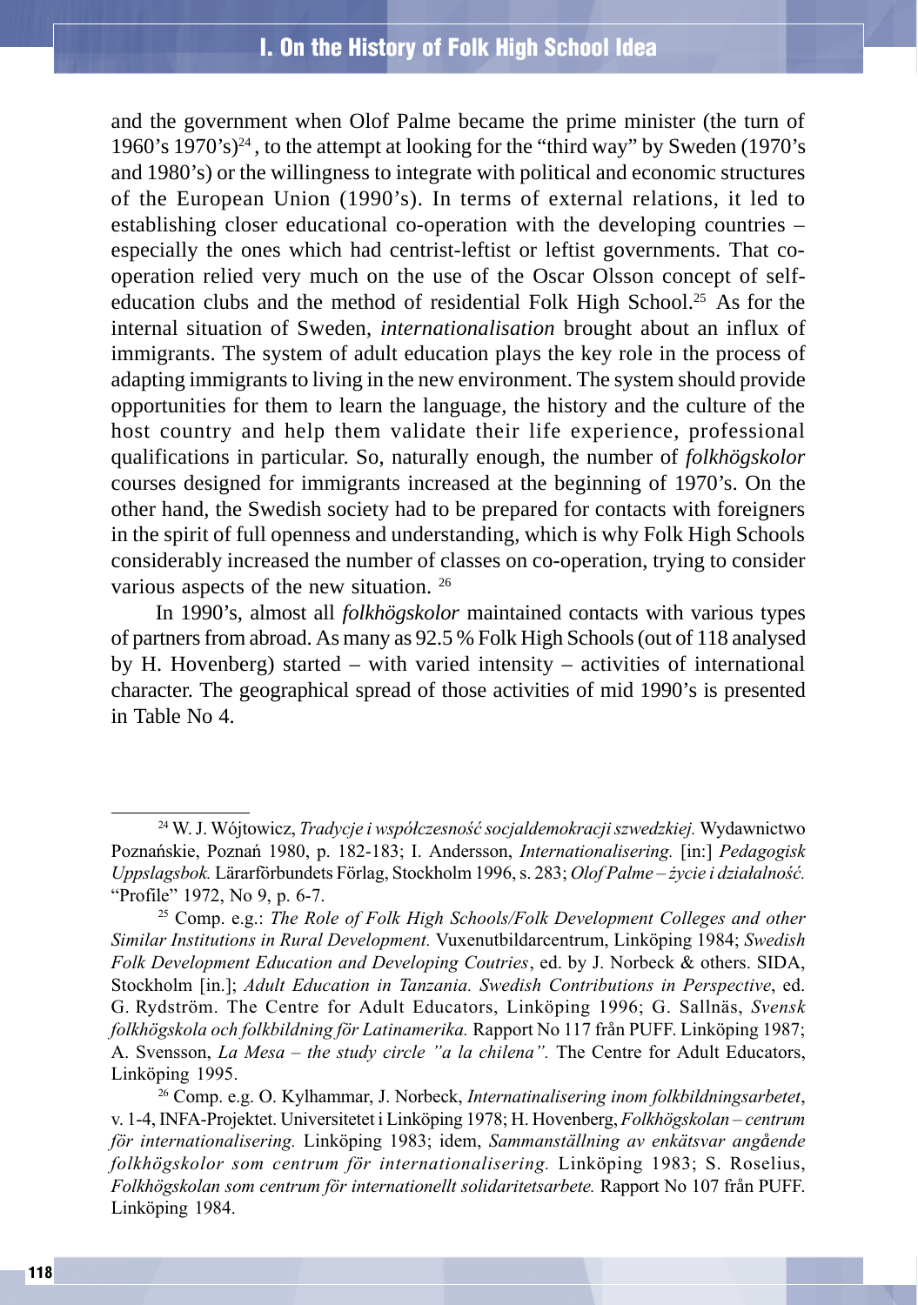and the government when Olof Palme became the prime minister (the turn of 1960's 1970's)<sup>24</sup>, to the attempt at looking for the "third way" by Sweden (1970's and 1980's) or the willingness to integrate with political and economic structures of the European Union (1990's). In terms of external relations, it led to establishing closer educational co-operation with the developing countries – especially the ones which had centrist-leftist or leftist governments. That cooperation relied very much on the use of the Oscar Olsson concept of selfeducation clubs and the method of residential Folk High School.<sup>25</sup> As for the internal situation of Sweden, *internationalisation* brought about an influx of immigrants. The system of adult education plays the key role in the process of adapting immigrants to living in the new environment. The system should provide opportunities for them to learn the language, the history and the culture of the host country and help them validate their life experience, professional qualifications in particular. So, naturally enough, the number of *folkhögskolor* courses designed for immigrants increased at the beginning of 1970's. On the other hand, the Swedish society had to be prepared for contacts with foreigners in the spirit of full openness and understanding, which is why Folk High Schools considerably increased the number of classes on co-operation, trying to consider various aspects of the new situation. 26

In 1990's, almost all *folkhögskolor* maintained contacts with various types of partners from abroad. As many as 92.5 % Folk High Schools (out of 118 analysed by H. Hovenberg) started – with varied intensity – activities of international character. The geographical spread of those activities of mid 1990's is presented in Table No 4.

<sup>26</sup> Comp. e.g. O. Kylhammar, J. Norbeck, Internatinalisering inom folkbildningsarbetet, v. 1-4, INFA-Projektet. Universitetet i Linköping 1978; H. Hovenberg, *Folkhögskolan – centrum* för internationalisering. Linköping 1983; idem, Sammanställning av enkätsvar ang*å*ende folkhögskolor som centrum för internationalisering. Linköping 1983; S. Roselius, Folkhögskolan som centrum för internationellt solidaritetsarbete. Rapport No 107 från PUFF. Linköping 1984.

<sup>&</sup>lt;sup>24</sup> W. J. Wójtowicz, *Tradycje i współczesność socjaldemokracji szwedzkiej*. Wydawnictwo Poznañskie, Poznañ 1980, p. 182-183; I. Andersson, Internationalisering. [in:] Pedagogisk Uppslagsbok. Lärarförbundets Förlag, Stockholm 1996, s. 283; Olof Palme - życie i działalność. "Profile" 1972, No 9, p. 6-7.

 $25$  Comp. e.g.: The Role of Folk High Schools/Folk Development Colleges and other Similar Institutions in Rural Development. Vuxenutbildarcentrum, Linköping 1984; Swedish Folk Development Education and Developing Coutries, ed. by J. Norbeck & others. SIDA, Stockholm [in.]; Adult Education in Tanzania. Swedish Contributions in Perspective, ed. G. Rydström. The Centre for Adult Educators, Linköping 1996; G. Sallnäs, Svensk folkhögskola och folkbildning för Latinamerika. Rapport No 117 från PUFF. Linköping 1987; A. Svensson, La Mesa - the study circle "a la chilena". The Centre for Adult Educators, Linköping 1995.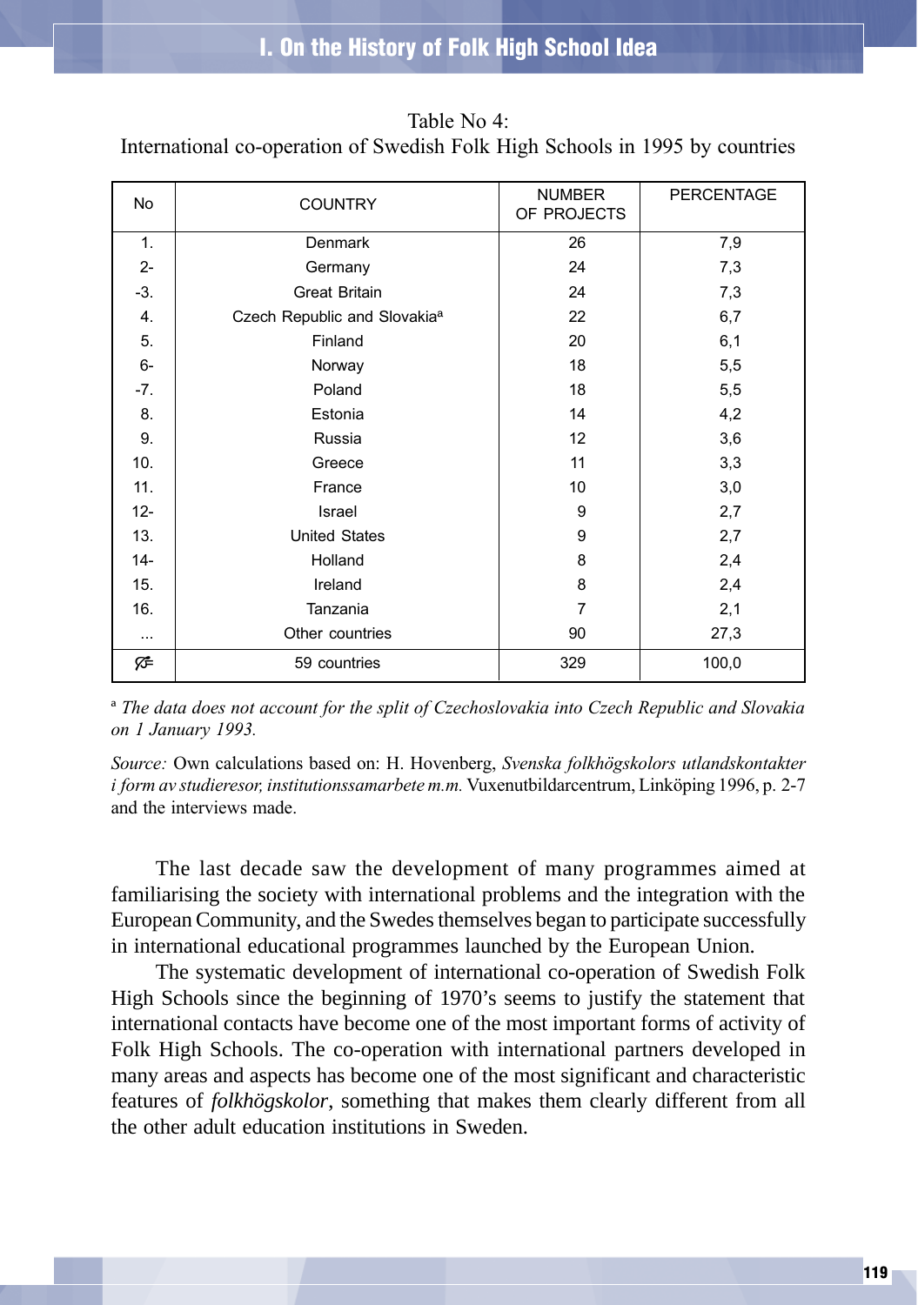| No       | <b>COUNTRY</b>                           | <b>NUMBER</b><br>OF PROJECTS | PERCENTAGE |
|----------|------------------------------------------|------------------------------|------------|
| 1.       | Denmark                                  | 26                           | 7,9        |
| $2-$     | Germany                                  | 24                           | 7,3        |
| $-3.$    | <b>Great Britain</b>                     | 24                           | 7,3        |
| 4.       | Czech Republic and Slovakia <sup>a</sup> | 22                           | 6,7        |
| 5.       | Finland                                  | 20                           | 6,1        |
| $6-$     | Norway                                   | 18                           | 5,5        |
| $-7.$    | Poland                                   | 18                           | 5,5        |
| 8.       | Estonia                                  | 14                           | 4,2        |
| 9.       | Russia                                   | 12                           | 3,6        |
| 10.      | Greece                                   | 11                           | 3,3        |
| 11.      | France                                   | 10                           | 3,0        |
| $12 -$   | Israel                                   | 9                            | 2,7        |
| 13.      | <b>United States</b>                     | 9                            | 2,7        |
| $14-$    | Holland                                  | 8                            | 2,4        |
| 15.      | Ireland                                  | 8                            | 2,4        |
| 16.      | Tanzania                                 | 7                            | 2,1        |
| $\cdots$ | Other countries                          | 90                           | 27,3       |
| י⊅       | 59 countries                             | 329                          | 100,0      |

Table No 4:

International co-operation of Swedish Folk High Schools in 1995 by countries

ª The data does not account for the split of Czechoslovakia into Czech Republic and Slovakia on 1 January 1993.

Source: Own calculations based on: H. Hovenberg, Svenska folkhögskolors utlandskontakter i form av studieresor, institutionssamarbete m.m. Vuxenutbildarcentrum, Linköping 1996, p. 2-7 and the interviews made.

The last decade saw the development of many programmes aimed at familiarising the society with international problems and the integration with the European Community, and the Swedes themselves began to participate successfully in international educational programmes launched by the European Union.

The systematic development of international co-operation of Swedish Folk High Schools since the beginning of 1970's seems to justify the statement that international contacts have become one of the most important forms of activity of Folk High Schools. The co-operation with international partners developed in many areas and aspects has become one of the most significant and characteristic features of *folkhögskolor*, something that makes them clearly different from all the other adult education institutions in Sweden.